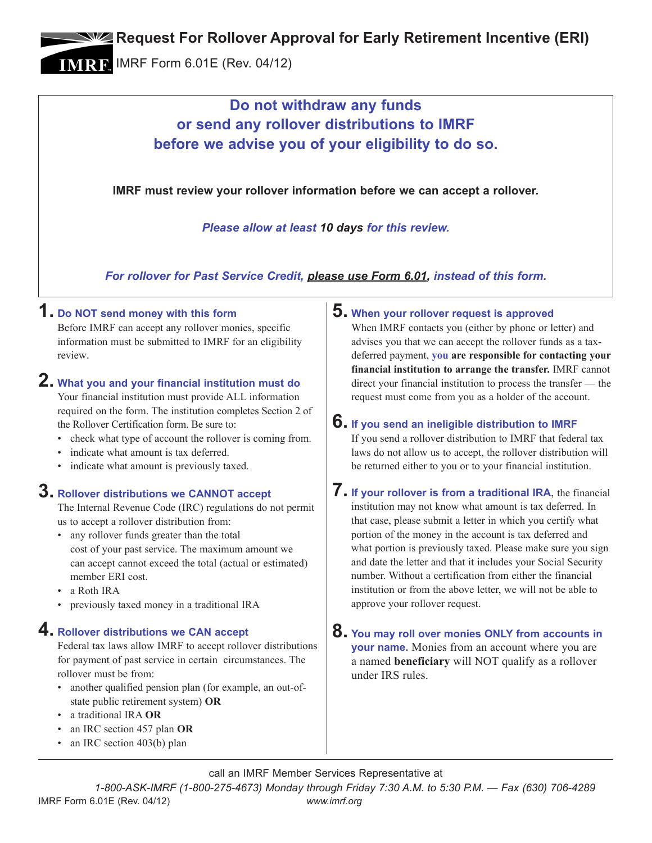**EXAGEDED REPARTMENT APPROVAL FOR EARLY Retirement Incentive (ERI)** 

IMRF Form 6.01E (Rev. 04/12)

## **Do not withdraw any funds or send any rollover distributions to IMRF before we advise you of your eligibility to do so.**

**IMRF must review your rollover information before we can accept a rollover.**

*Please allow at least 10 days for this review.*

*For rollover for Past Service Credit, please use Form 6.01, instead of this form.*

#### **1. Do NOT send money with this form**

Before IMRF can accept any rollover monies, specific information must be submitted to IMRF for an eligibility review.

# **2. What you and your financial institution must do**

Your financial institution must provide ALL information required on the form. The institution completes Section 2 of the Rollover Certification form. Be sure to:

- check what type of account the rollover is coming from.
- indicate what amount is tax deferred.
- indicate what amount is previously taxed.

#### **3. Rollover distributions we CANNOT accept**

The Internal Revenue Code (IRC) regulations do not permit us to accept a rollover distribution from:

- any rollover funds greater than the total cost of your past service. The maximum amount we can accept cannot exceed the total (actual or estimated) member ERI cost.
- a Roth IRA
- previously taxed money in a traditional IRA

#### **4. Rollover distributions we CAN accept**

Federal tax laws allow IMRF to accept rollover distributions for payment of past service in certain circumstances. The rollover must be from:

- another qualified pension plan (for example, an out-ofstate public retirement system) **OR**
- a traditional IRA **OR**
- an IRC section 457 plan **OR**
- an IRC section 403(b) plan

#### **5. When your rollover request is approved**

When IMRF contacts you (either by phone or letter) and advises you that we can accept the rollover funds as a taxdeferred payment, **you are responsible for contacting your financial institution to arrange the transfer.** IMRF cannot direct your financial institution to process the transfer — the request must come from you as a holder of the account.

### **6. If you send an ineligible distribution to IMRF**

If you send a rollover distribution to IMRF that federal tax laws do not allow us to accept, the rollover distribution will be returned either to you or to your financial institution.

- **7. If your rollover is from a traditional IRA**, the financial institution may not know what amount is tax deferred. In that case, please submit a letter in which you certify what portion of the money in the account is tax deferred and what portion is previously taxed. Please make sure you sign and date the letter and that it includes your Social Security number. Without a certification from either the financial institution or from the above letter, we will not be able to approve your rollover request.
- **8. You may roll over monies ONLY from accounts in your name.** Monies from an account where you are a named **beneficiary** will NOT qualify as a rollover under IRS rules.